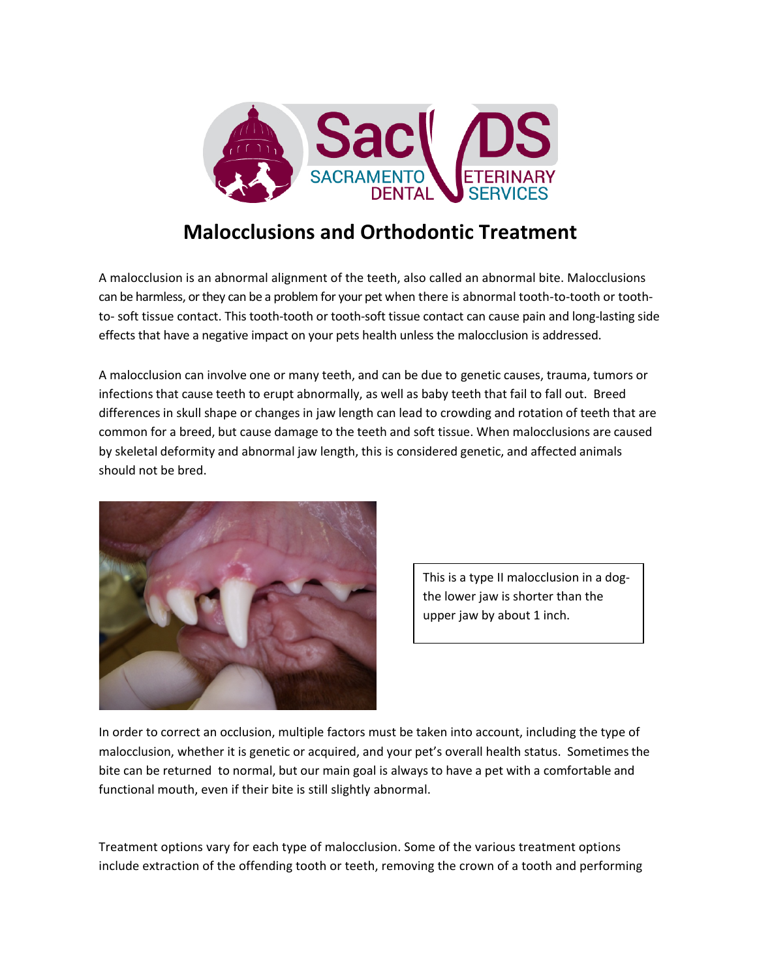

## **Malocclusions and Orthodontic Treatment**

A malocclusion is an abnormal alignment of the teeth, also called an abnormal bite. Malocclusions can be harmless, or they can be a problem for your pet when there is abnormal tooth-to-tooth or toothto- soft tissue contact. This tooth-tooth or tooth-soft tissue contact can cause pain and long-lasting side effects that have a negative impact on your pets health unless the malocclusion is addressed.

A malocclusion can involve one or many teeth, and can be due to genetic causes, trauma, tumors or infections that cause teeth to erupt abnormally, as well as baby teeth that fail to fall out. Breed differencesin skull shape or changes in jaw length can lead to crowding and rotation of teeth that are common for a breed, but cause damage to the teeth and soft tissue. When malocclusions are caused by skeletal deformity and abnormal jaw length, this is considered genetic, and affected animals should not be bred.



This is a type II malocclusion in a dogthe lower jaw is shorter than the upper jaw by about 1 inch.

In order to correct an occlusion, multiple factors must be taken into account, including the type of malocclusion, whether it is genetic or acquired, and your pet's overall health status. Sometimesthe bite can be returned to normal, but our main goal is always to have a pet with a comfortable and functional mouth, even if their bite is still slightly abnormal.

Treatment options vary for each type of malocclusion. Some of the various treatment options include extraction of the offending tooth or teeth, removing the crown of a tooth and performing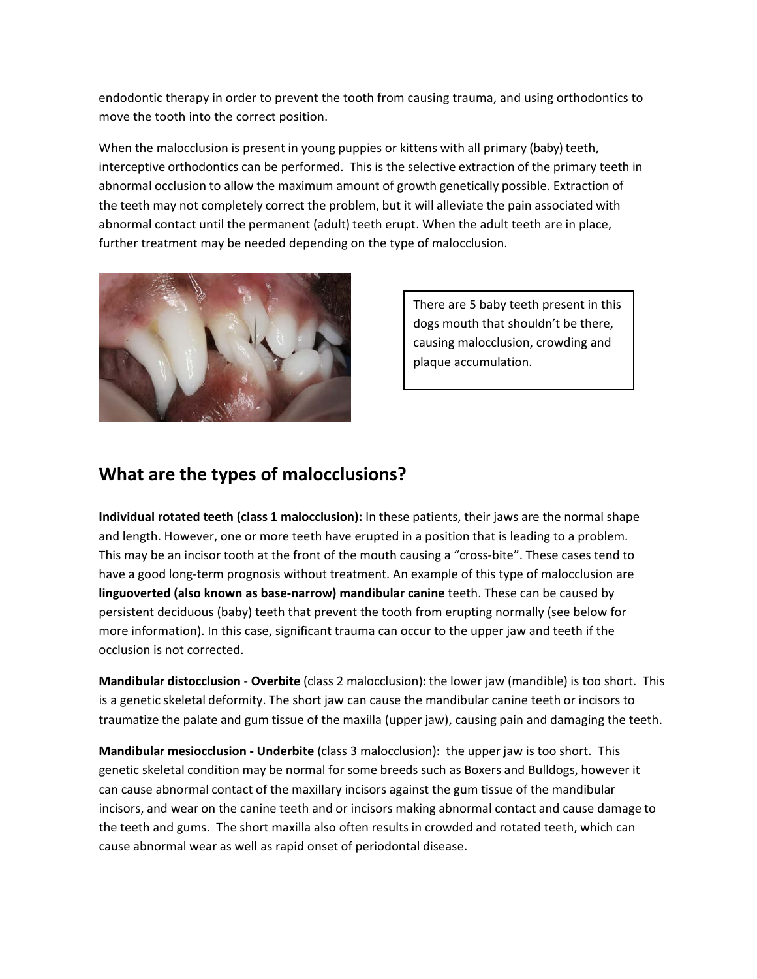endodontic therapy in order to prevent the tooth from causing trauma, and using orthodontics to move the tooth into the correct position.

When the malocclusion is present in young puppies or kittens with all primary (baby) teeth, interceptive orthodontics can be performed. This is the selective extraction of the primary teeth in abnormal occlusion to allow the maximum amount of growth genetically possible. Extraction of the teeth may not completely correct the problem, but it will alleviate the pain associated with abnormal contact until the permanent (adult) teeth erupt. When the adult teeth are in place, further treatment may be needed depending on the type of malocclusion.



There are 5 baby teeth present in this dogs mouth that shouldn't be there, causing malocclusion, crowding and plaque accumulation.

## **What are the types of malocclusions?**

**Individual rotated teeth (class 1 malocclusion):** In these patients, their jaws are the normal shape and length. However, one or more teeth have erupted in a position that is leading to a problem. This may be an incisor tooth at the front of the mouth causing a "cross-bite". These cases tend to have a good long-term prognosis without treatment. An example of this type of malocclusion are **linguoverted (also known as base-narrow) mandibular canine** teeth. These can be caused by persistent deciduous (baby) teeth that prevent the tooth from erupting normally (see below for more information). In this case, significant trauma can occur to the upper jaw and teeth if the occlusion is not corrected.

**Mandibular distocclusion** - **Overbite** (class 2 malocclusion): the lower jaw (mandible) is too short. This is a genetic skeletal deformity. The short jaw can cause the mandibular canine teeth or incisors to traumatize the palate and gum tissue of the maxilla (upper jaw), causing pain and damaging the teeth.

**Mandibular mesiocclusion - Underbite** (class 3 malocclusion): the upper jaw is too short. This genetic skeletal condition may be normal for some breeds such as Boxers and Bulldogs, however it can cause abnormal contact of the maxillary incisors against the gum tissue of the mandibular incisors, and wear on the canine teeth and or incisors making abnormal contact and cause damage to the teeth and gums. The short maxilla also often results in crowded and rotated teeth, which can cause abnormal wear as well as rapid onset of periodontal disease.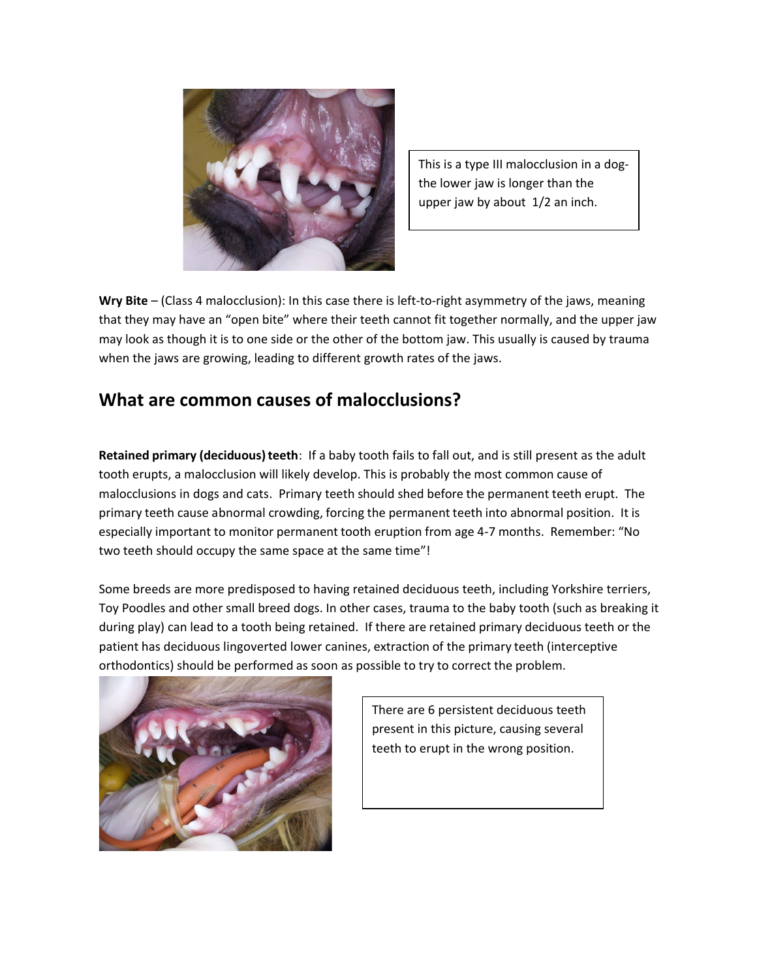

This is a type III malocclusion in a dogthe lower jaw is longer than the upper jaw by about 1/2 an inch.

**Wry Bite** – (Class 4 malocclusion): In this case there is left-to-right asymmetry of the jaws, meaning that they may have an "open bite" where their teeth cannot fit together normally, and the upper jaw may look as though it is to one side or the other of the bottom jaw. This usually is caused by trauma when the jaws are growing, leading to different growth rates of the jaws.

## **What are common causes of malocclusions?**

**Retained primary (deciduous)teeth**: If a baby tooth fails to fall out, and is still present as the adult tooth erupts, a malocclusion will likely develop. This is probably the most common cause of malocclusions in dogs and cats. Primary teeth should shed before the permanent teeth erupt. The primary teeth cause abnormal crowding, forcing the permanent teeth into abnormal position. It is especially important to monitor permanent tooth eruption from age 4-7 months. Remember: "No two teeth should occupy the same space at the same time"!

Some breeds are more predisposed to having retained deciduous teeth, including Yorkshire terriers, Toy Poodles and other small breed dogs. In other cases, trauma to the baby tooth (such as breaking it during play) can lead to a tooth being retained. If there are retained primary deciduous teeth or the patient has deciduous lingoverted lower canines, extraction of the primary teeth (interceptive orthodontics) should be performed as soon as possible to try to correct the problem.



There are 6 persistent deciduous teeth present in this picture, causing several teeth to erupt in the wrong position.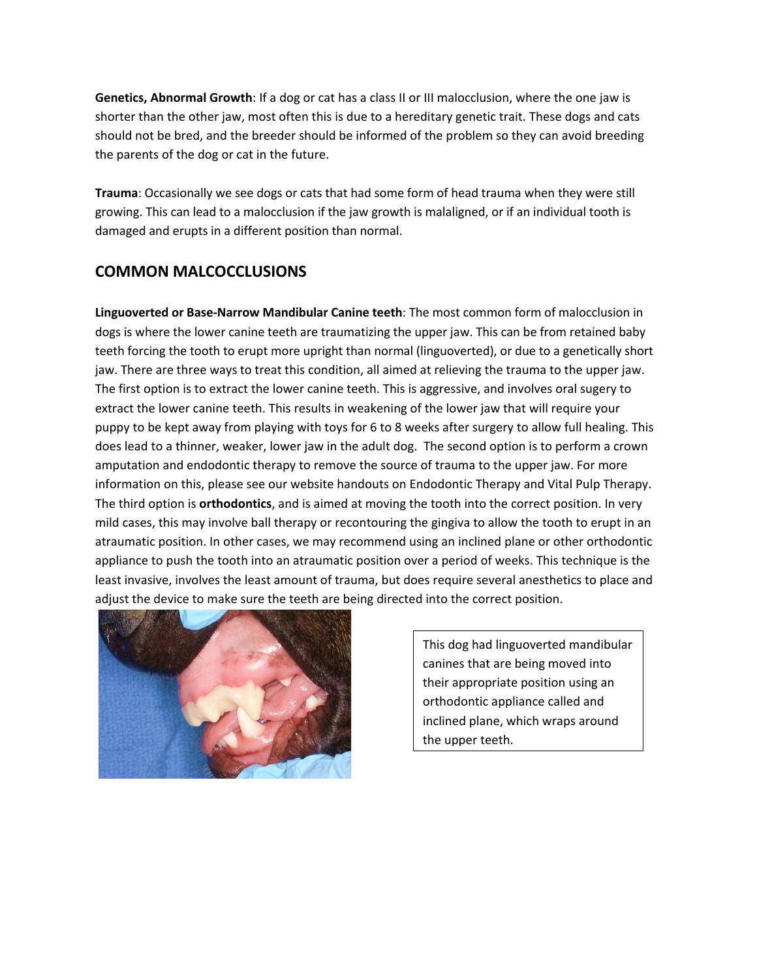**Genetics, Abnormal Growth**: If a dog or cat has a class II or III malocclusion, where the one jaw is shorter than the other jaw, most often this is due to a hereditary genetic trait. These dogs and cats should not be bred, and the breeder should be informed of the problem so they can avoid breeding the parents of the dog or cat in the future.

**Trauma**: Occasionally we see dogs or cats that had some form of head trauma when they were still growing. This can lead to a malocclusion if the jaw growth is malaligned, or if an individual tooth is damaged and erupts in a different position than normal.

## **COMMON MALCOCCLUSIONS**

**Linguoverted or Base-Narrow Mandibular Canine teeth**: The most common form of malocclusion in dogs is where the lower canine teeth are traumatizing the upper jaw. This can be from retained baby teeth forcing the tooth to erupt more upright than normal (linguoverted), or due to a genetically short jaw. There are three ways to treat this condition, all aimed at relieving the trauma to the upper jaw. The first option is to extract the lower canine teeth. This is aggressive, and involves oral sugery to extract the lower canine teeth. This results in weakening of the lower jaw that will require your puppy to be kept away from playing with toys for 6 to 8 weeks after surgery to allow full healing. This does lead to a thinner, weaker, lower jaw in the adult dog. The second option is to perform a crown amputation and endodontic therapy to remove the source of trauma to the upper jaw. For more information on this, please see our website handouts on Endodontic Therapy and Vital Pulp Therapy. The third option is **orthodontics**, and is aimed at moving the tooth into the correct position. In very mild cases, this may involve ball therapy or recontouring the gingiva to allow the tooth to erupt in an atraumatic position. In other cases, we may recommend using an inclined plane or other orthodontic appliance to push the tooth into an atraumatic position over a period of weeks. This technique is the least invasive, involves the least amount of trauma, but does require several anesthetics to place and adjust the device to make sure the teeth are being directed into the correct position.



This dog had linguoverted mandibular canines that are being moved into their appropriate position using an orthodontic appliance called and inclined plane, which wraps around the upper teeth.